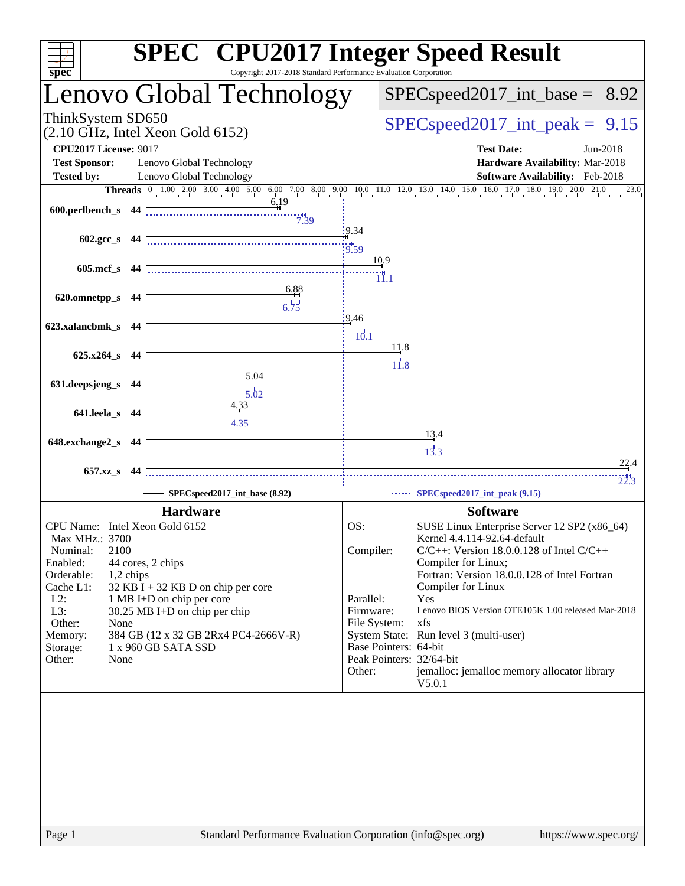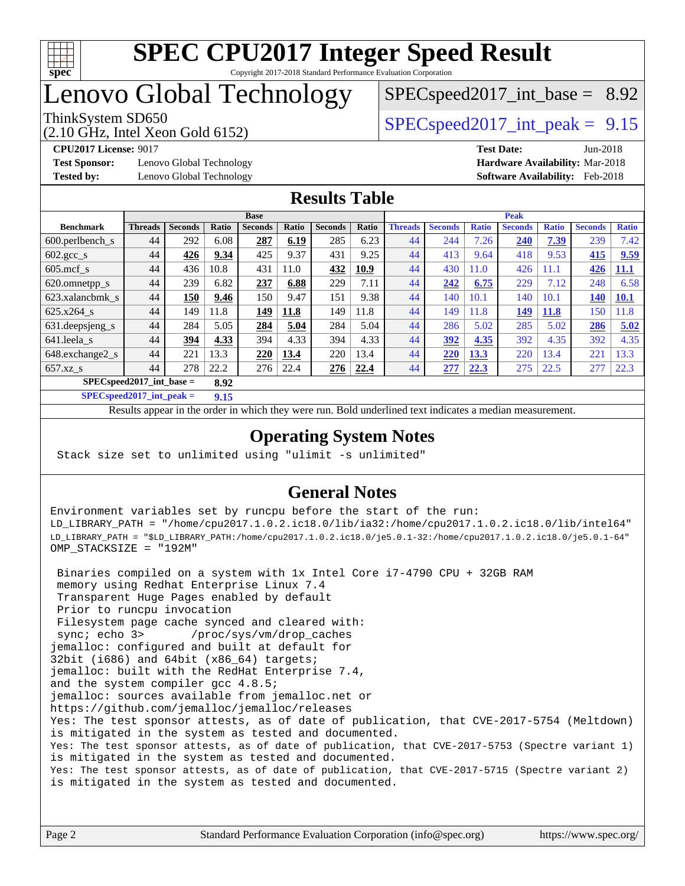

## Lenovo Global Technology

# $SPECspeed2017\_int\_base = 8.92$

(2.10 GHz, Intel Xeon Gold 6152)

ThinkSystem SD650  $SPEC speed2017$  int peak = 9.15

**[Test Sponsor:](http://www.spec.org/auto/cpu2017/Docs/result-fields.html#TestSponsor)** Lenovo Global Technology **[Hardware Availability:](http://www.spec.org/auto/cpu2017/Docs/result-fields.html#HardwareAvailability)** Mar-2018 **[Tested by:](http://www.spec.org/auto/cpu2017/Docs/result-fields.html#Testedby)** Lenovo Global Technology **[Software Availability:](http://www.spec.org/auto/cpu2017/Docs/result-fields.html#SoftwareAvailability)** Feb-2018

**[CPU2017 License:](http://www.spec.org/auto/cpu2017/Docs/result-fields.html#CPU2017License)** 9017 **[Test Date:](http://www.spec.org/auto/cpu2017/Docs/result-fields.html#TestDate)** Jun-2018

#### **[Results Table](http://www.spec.org/auto/cpu2017/Docs/result-fields.html#ResultsTable)**

|                                     | <b>Base</b>    |                |       |                | <b>Peak</b> |                |             |                |                |              |                |              |                |              |
|-------------------------------------|----------------|----------------|-------|----------------|-------------|----------------|-------------|----------------|----------------|--------------|----------------|--------------|----------------|--------------|
| <b>Benchmark</b>                    | <b>Threads</b> | <b>Seconds</b> | Ratio | <b>Seconds</b> | Ratio       | <b>Seconds</b> | Ratio       | <b>Threads</b> | <b>Seconds</b> | <b>Ratio</b> | <b>Seconds</b> | <b>Ratio</b> | <b>Seconds</b> | <b>Ratio</b> |
| $600.$ perlbench $_s$               | 44             | 292            | 6.08  | 287            | 6.19        | 285            | 6.23        | 44             | 244            | 7.26         | 240            | 7.39         | 239            | 7.42         |
| $602.\text{gcc}\_\text{s}$          | 44             | 426            | 9.34  | 425            | 9.37        | 431            | 9.25        | 44             | 413            | 9.64         | 418            | 9.53         | 415            | 9.59         |
| $605 \text{.mcf}$ s                 | 44             | 436            | 10.8  | 431            | 11.0        | 432            | <u>10.9</u> | 44             | 430            | 11.0         | 426            | 1.1          | 426            | 11.1         |
| 620.omnetpp_s                       | 44             | 239            | 6.82  | 237            | 6.88        | 229            | 7.11        | 44             | 242            | 6.75         | 229            | 7.12         | 248            | 6.58         |
| 623.xalancbmk s                     | 44             | 150            | 9.46  | 150            | 9.47        | 151            | 9.38        | 44             | 140            | 10.1         | 140            | 10.1         | <b>140</b>     | 10.1         |
| $625.x264$ s                        | 44             | 149            | 11.8  | 149            | 11.8        | 149            | 11.8        | 44             | 149            | 11.8         | 149            | <b>11.8</b>  | 150            | 1.8          |
| 631.deepsjeng_s                     | 44             | 284            | 5.05  | 284            | 5.04        | 284            | 5.04        | 44             | 286            | 5.02         | 285            | 5.02         | 286            | 5.02         |
| 641.leela s                         | 44             | 394            | 4.33  | 394            | 4.33        | 394            | 4.33        | 44             | 392            | 4.35         | 392            | 4.35         | 392            | 4.35         |
| 648.exchange2_s                     | 44             | 221            | 13.3  | 220            | 13.4        | 220            | 13.4        | 44             | 220            | 13.3         | 220            | 13.4         | 221            | 13.3         |
| $657.xz$ s                          | 44             | 278            | 22.2  | 276            | 22.4        | 276            | 22.4        | 44             | 277            | 22.3         | 275            | 22.5         | 277            | 22.3         |
| $SPEC speed2017$ int base =<br>8.92 |                |                |       |                |             |                |             |                |                |              |                |              |                |              |

**[SPECspeed2017\\_int\\_peak =](http://www.spec.org/auto/cpu2017/Docs/result-fields.html#SPECspeed2017intpeak) 9.15**

Results appear in the [order in which they were run.](http://www.spec.org/auto/cpu2017/Docs/result-fields.html#RunOrder) Bold underlined text [indicates a median measurement](http://www.spec.org/auto/cpu2017/Docs/result-fields.html#Median).

### **[Operating System Notes](http://www.spec.org/auto/cpu2017/Docs/result-fields.html#OperatingSystemNotes)**

Stack size set to unlimited using "ulimit -s unlimited"

### **[General Notes](http://www.spec.org/auto/cpu2017/Docs/result-fields.html#GeneralNotes)**

Environment variables set by runcpu before the start of the run: LD\_LIBRARY\_PATH = "/home/cpu2017.1.0.2.ic18.0/lib/ia32:/home/cpu2017.1.0.2.ic18.0/lib/intel64" LD\_LIBRARY\_PATH = "\$LD\_LIBRARY\_PATH:/home/cpu2017.1.0.2.ic18.0/je5.0.1-32:/home/cpu2017.1.0.2.ic18.0/je5.0.1-64" OMP\_STACKSIZE = "192M"

 Binaries compiled on a system with 1x Intel Core i7-4790 CPU + 32GB RAM memory using Redhat Enterprise Linux 7.4 Transparent Huge Pages enabled by default Prior to runcpu invocation Filesystem page cache synced and cleared with: sync; echo 3> /proc/sys/vm/drop\_caches jemalloc: configured and built at default for 32bit (i686) and 64bit (x86\_64) targets; jemalloc: built with the RedHat Enterprise 7.4, and the system compiler gcc 4.8.5; jemalloc: sources available from jemalloc.net or <https://github.com/jemalloc/jemalloc/releases> Yes: The test sponsor attests, as of date of publication, that CVE-2017-5754 (Meltdown) is mitigated in the system as tested and documented. Yes: The test sponsor attests, as of date of publication, that CVE-2017-5753 (Spectre variant 1) is mitigated in the system as tested and documented. Yes: The test sponsor attests, as of date of publication, that CVE-2017-5715 (Spectre variant 2) is mitigated in the system as tested and documented.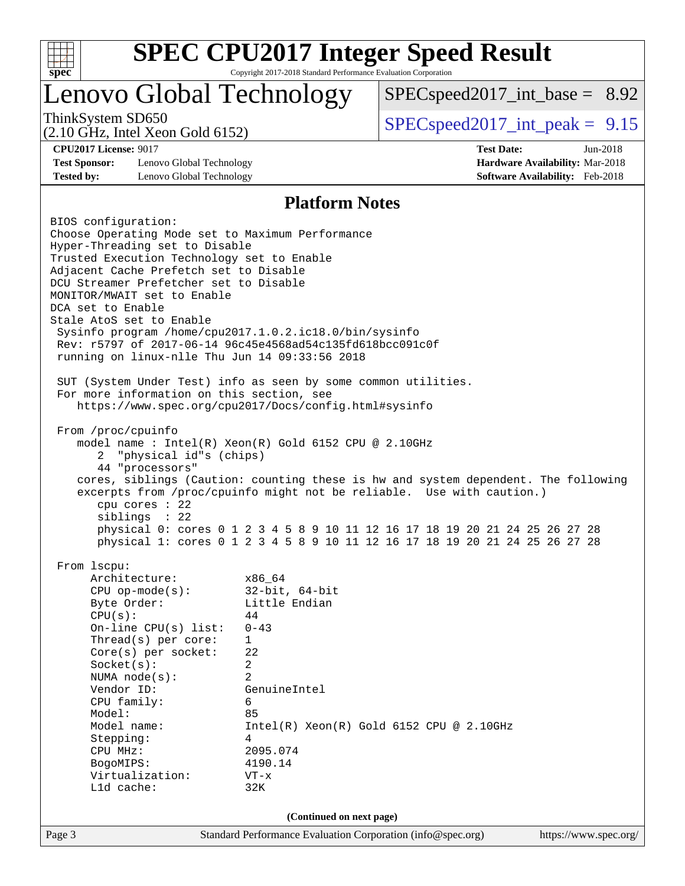

### Lenovo Global Technology

 $SPEC speed2017\_int\_base = 8.92$ 

(2.10 GHz, Intel Xeon Gold 6152)

ThinkSystem SD650  $SPEC speed2017$  int peak = 9.15

**[Test Sponsor:](http://www.spec.org/auto/cpu2017/Docs/result-fields.html#TestSponsor)** Lenovo Global Technology **[Hardware Availability:](http://www.spec.org/auto/cpu2017/Docs/result-fields.html#HardwareAvailability)** Mar-2018 **[Tested by:](http://www.spec.org/auto/cpu2017/Docs/result-fields.html#Testedby)** Lenovo Global Technology **[Software Availability:](http://www.spec.org/auto/cpu2017/Docs/result-fields.html#SoftwareAvailability)** Feb-2018

**[CPU2017 License:](http://www.spec.org/auto/cpu2017/Docs/result-fields.html#CPU2017License)** 9017 **[Test Date:](http://www.spec.org/auto/cpu2017/Docs/result-fields.html#TestDate)** Jun-2018

#### **[Platform Notes](http://www.spec.org/auto/cpu2017/Docs/result-fields.html#PlatformNotes)**

Page 3 Standard Performance Evaluation Corporation [\(info@spec.org\)](mailto:info@spec.org) <https://www.spec.org/> BIOS configuration: Choose Operating Mode set to Maximum Performance Hyper-Threading set to Disable Trusted Execution Technology set to Enable Adjacent Cache Prefetch set to Disable DCU Streamer Prefetcher set to Disable MONITOR/MWAIT set to Enable DCA set to Enable Stale AtoS set to Enable Sysinfo program /home/cpu2017.1.0.2.ic18.0/bin/sysinfo Rev: r5797 of 2017-06-14 96c45e4568ad54c135fd618bcc091c0f running on linux-nlle Thu Jun 14 09:33:56 2018 SUT (System Under Test) info as seen by some common utilities. For more information on this section, see <https://www.spec.org/cpu2017/Docs/config.html#sysinfo> From /proc/cpuinfo model name : Intel(R) Xeon(R) Gold 6152 CPU @ 2.10GHz 2 "physical id"s (chips) 44 "processors" cores, siblings (Caution: counting these is hw and system dependent. The following excerpts from /proc/cpuinfo might not be reliable. Use with caution.) cpu cores : 22 siblings : 22 physical 0: cores 0 1 2 3 4 5 8 9 10 11 12 16 17 18 19 20 21 24 25 26 27 28 physical 1: cores 0 1 2 3 4 5 8 9 10 11 12 16 17 18 19 20 21 24 25 26 27 28 From lscpu: Architecture: x86\_64 CPU op-mode(s): 32-bit, 64-bit Byte Order: Little Endian  $CPU(s):$  44 On-line CPU(s) list: 0-43 Thread(s) per core: 1 Core(s) per socket: 22 Socket(s): 2 NUMA node(s): 2 Vendor ID: GenuineIntel CPU family: 6 Model: 85 Model name: Intel(R) Xeon(R) Gold 6152 CPU @ 2.10GHz Stepping: 4 CPU MHz: 2095.074 BogoMIPS: 4190.14 Virtualization: VT-x L1d cache: 32K **(Continued on next page)**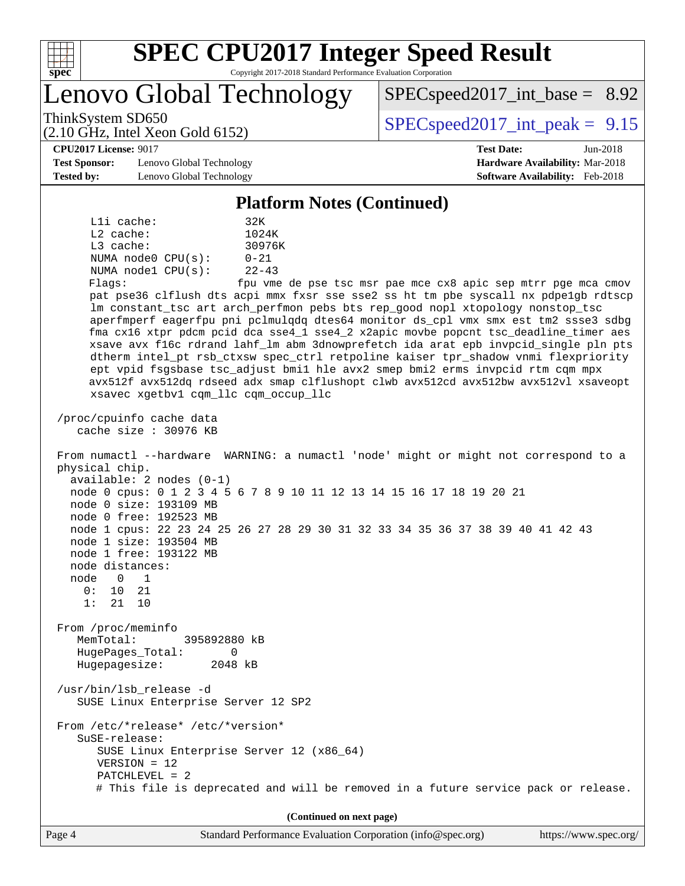

Lenovo Global Technology

ThinkSystem SD650  $SPEC speed2017$  int peak = 9.15

 $SPECspeed2017\_int\_base = 8.92$ 

(2.10 GHz, Intel Xeon Gold 6152)

**[CPU2017 License:](http://www.spec.org/auto/cpu2017/Docs/result-fields.html#CPU2017License)** 9017 **[Test Date:](http://www.spec.org/auto/cpu2017/Docs/result-fields.html#TestDate)** Jun-2018 **[Test Sponsor:](http://www.spec.org/auto/cpu2017/Docs/result-fields.html#TestSponsor)** Lenovo Global Technology **[Hardware Availability:](http://www.spec.org/auto/cpu2017/Docs/result-fields.html#HardwareAvailability)** Mar-2018 **[Tested by:](http://www.spec.org/auto/cpu2017/Docs/result-fields.html#Testedby)** Lenovo Global Technology **[Software Availability:](http://www.spec.org/auto/cpu2017/Docs/result-fields.html#SoftwareAvailability)** Feb-2018

#### **[Platform Notes \(Continued\)](http://www.spec.org/auto/cpu2017/Docs/result-fields.html#PlatformNotes)**

 L1i cache: 32K L2 cache: 1024K L3 cache: 30976K NUMA node0 CPU(s): 0-21 NUMA node1 CPU(s): 22-43 Flags: fpu vme de pse tsc msr pae mce cx8 apic sep mtrr pge mca cmov pat pse36 clflush dts acpi mmx fxsr sse sse2 ss ht tm pbe syscall nx pdpe1gb rdtscp lm constant\_tsc art arch\_perfmon pebs bts rep\_good nopl xtopology nonstop\_tsc aperfmperf eagerfpu pni pclmulqdq dtes64 monitor ds\_cpl vmx smx est tm2 ssse3 sdbg fma cx16 xtpr pdcm pcid dca sse4\_1 sse4\_2 x2apic movbe popcnt tsc\_deadline\_timer aes xsave avx f16c rdrand lahf\_lm abm 3dnowprefetch ida arat epb invpcid\_single pln pts dtherm intel\_pt rsb\_ctxsw spec\_ctrl retpoline kaiser tpr\_shadow vnmi flexpriority ept vpid fsgsbase tsc\_adjust bmi1 hle avx2 smep bmi2 erms invpcid rtm cqm mpx avx512f avx512dq rdseed adx smap clflushopt clwb avx512cd avx512bw avx512vl xsaveopt xsavec xgetbv1 cqm\_llc cqm\_occup\_llc

 /proc/cpuinfo cache data cache size : 30976 KB

 From numactl --hardware WARNING: a numactl 'node' might or might not correspond to a physical chip. available: 2 nodes (0-1) node 0 cpus: 0 1 2 3 4 5 6 7 8 9 10 11 12 13 14 15 16 17 18 19 20 21 node 0 size: 193109 MB

 node 0 free: 192523 MB node 1 cpus: 22 23 24 25 26 27 28 29 30 31 32 33 34 35 36 37 38 39 40 41 42 43 node 1 size: 193504 MB

 node 1 free: 193122 MB node distances:

 node 0 1 0: 10 21

1: 21 10

 From /proc/meminfo MemTotal: 395892880 kB HugePages\_Total: 0 Hugepagesize: 2048 kB

 /usr/bin/lsb\_release -d SUSE Linux Enterprise Server 12 SP2

 From /etc/\*release\* /etc/\*version\* SuSE-release: SUSE Linux Enterprise Server 12 (x86\_64)

VERSION = 12

 PATCHLEVEL = 2 # This file is deprecated and will be removed in a future service pack or release.

**(Continued on next page)**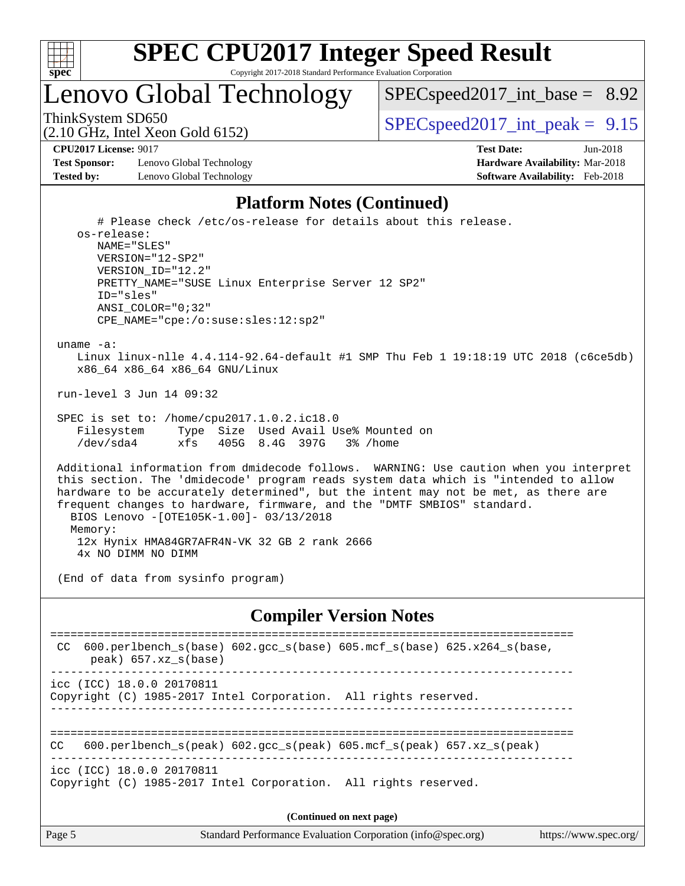

Lenovo Global Technology

 $SPEC speed2017\_int\_base = 8.92$ 

(2.10 GHz, Intel Xeon Gold 6152)

ThinkSystem SD650  $SPEC speed2017$  int peak = 9.15

**[Test Sponsor:](http://www.spec.org/auto/cpu2017/Docs/result-fields.html#TestSponsor)** Lenovo Global Technology **[Hardware Availability:](http://www.spec.org/auto/cpu2017/Docs/result-fields.html#HardwareAvailability)** Mar-2018 **[Tested by:](http://www.spec.org/auto/cpu2017/Docs/result-fields.html#Testedby)** Lenovo Global Technology **[Software Availability:](http://www.spec.org/auto/cpu2017/Docs/result-fields.html#SoftwareAvailability)** Feb-2018

**[CPU2017 License:](http://www.spec.org/auto/cpu2017/Docs/result-fields.html#CPU2017License)** 9017 **[Test Date:](http://www.spec.org/auto/cpu2017/Docs/result-fields.html#TestDate)** Jun-2018

#### **[Platform Notes \(Continued\)](http://www.spec.org/auto/cpu2017/Docs/result-fields.html#PlatformNotes)**

 # Please check /etc/os-release for details about this release. os-release: NAME="SLES" VERSION="12-SP2" VERSION\_ID="12.2" PRETTY\_NAME="SUSE Linux Enterprise Server 12 SP2" ID="sles" ANSI\_COLOR="0;32" CPE\_NAME="cpe:/o:suse:sles:12:sp2" uname -a: Linux linux-nlle 4.4.114-92.64-default #1 SMP Thu Feb 1 19:18:19 UTC 2018 (c6ce5db) x86\_64 x86\_64 x86\_64 GNU/Linux

run-level 3 Jun 14 09:32

 SPEC is set to: /home/cpu2017.1.0.2.ic18.0 Filesystem Type Size Used Avail Use% Mounted on /dev/sda4 xfs 405G 8.4G 397G 3% /home

 Additional information from dmidecode follows. WARNING: Use caution when you interpret this section. The 'dmidecode' program reads system data which is "intended to allow hardware to be accurately determined", but the intent may not be met, as there are frequent changes to hardware, firmware, and the "DMTF SMBIOS" standard. BIOS Lenovo -[OTE105K-1.00]- 03/13/2018 Memory: 12x Hynix HMA84GR7AFR4N-VK 32 GB 2 rank 2666

4x NO DIMM NO DIMM

(End of data from sysinfo program)

#### **[Compiler Version Notes](http://www.spec.org/auto/cpu2017/Docs/result-fields.html#CompilerVersionNotes)**

| 600.perlbench $s(base)$ 602.gcc $s(base)$ 605.mcf $s(base)$ 625.x264 $s(base)$<br>CC<br>peak) 657.xz s(base)    |  |  |  |  |  |  |
|-----------------------------------------------------------------------------------------------------------------|--|--|--|--|--|--|
| icc (ICC) 18.0.0 20170811<br>Copyright (C) 1985-2017 Intel Corporation. All rights reserved.                    |  |  |  |  |  |  |
| 600.perlbench $s(\text{peak})$ 602.gcc $s(\text{peak})$ 605.mcf $s(\text{peak})$ 657.xz $s(\text{peak})$<br>CC. |  |  |  |  |  |  |
| icc (ICC) 18.0.0 20170811<br>Copyright (C) 1985-2017 Intel Corporation. All rights reserved.                    |  |  |  |  |  |  |
| (Continued on next page)                                                                                        |  |  |  |  |  |  |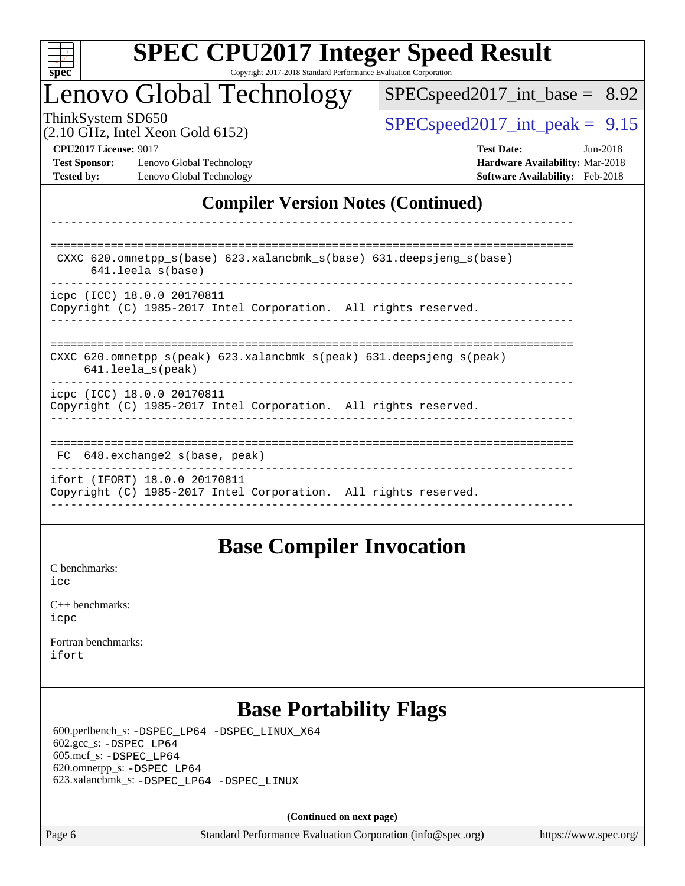

### Lenovo Global Technology

 $SPECspeed2017\_int\_base = 8.92$ 

(2.10 GHz, Intel Xeon Gold 6152)

ThinkSystem SD650  $SPEC speed2017$  int peak = 9.15

**[Test Sponsor:](http://www.spec.org/auto/cpu2017/Docs/result-fields.html#TestSponsor)** Lenovo Global Technology **[Hardware Availability:](http://www.spec.org/auto/cpu2017/Docs/result-fields.html#HardwareAvailability)** Mar-2018 **[Tested by:](http://www.spec.org/auto/cpu2017/Docs/result-fields.html#Testedby)** Lenovo Global Technology **[Software Availability:](http://www.spec.org/auto/cpu2017/Docs/result-fields.html#SoftwareAvailability)** Feb-2018

**[CPU2017 License:](http://www.spec.org/auto/cpu2017/Docs/result-fields.html#CPU2017License)** 9017 **[Test Date:](http://www.spec.org/auto/cpu2017/Docs/result-fields.html#TestDate)** Jun-2018

### **[Compiler Version Notes \(Continued\)](http://www.spec.org/auto/cpu2017/Docs/result-fields.html#CompilerVersionNotes)**

============================================================================== CXXC 620.omnetpp\_s(base) 623.xalancbmk\_s(base) 631.deepsjeng\_s(base) 641.leela\_s(base) ----------------------------------------------------------------------------- icpc (ICC) 18.0.0 20170811 Copyright (C) 1985-2017 Intel Corporation. All rights reserved. ------------------------------------------------------------------------------ ============================================================================== CXXC 620.omnetpp\_s(peak) 623.xalancbmk\_s(peak) 631.deepsjeng\_s(peak) 641.leela\_s(peak) ----------------------------------------------------------------------------- icpc (ICC) 18.0.0 20170811 Copyright (C) 1985-2017 Intel Corporation. All rights reserved. ------------------------------------------------------------------------------ ============================================================================== FC 648.exchange2\_s(base, peak) ----------------------------------------------------------------------------- ifort (IFORT) 18.0.0 20170811 Copyright (C) 1985-2017 Intel Corporation. All rights reserved.

------------------------------------------------------------------------------

------------------------------------------------------------------------------

### **[Base Compiler Invocation](http://www.spec.org/auto/cpu2017/Docs/result-fields.html#BaseCompilerInvocation)**

[C benchmarks](http://www.spec.org/auto/cpu2017/Docs/result-fields.html#Cbenchmarks): [icc](http://www.spec.org/cpu2017/results/res2018q3/cpu2017-20180625-07350.flags.html#user_CCbase_intel_icc_18.0_66fc1ee009f7361af1fbd72ca7dcefbb700085f36577c54f309893dd4ec40d12360134090235512931783d35fd58c0460139e722d5067c5574d8eaf2b3e37e92)

| $C_{++}$ benchmarks: |  |
|----------------------|--|
| icpc                 |  |

[Fortran benchmarks](http://www.spec.org/auto/cpu2017/Docs/result-fields.html#Fortranbenchmarks): [ifort](http://www.spec.org/cpu2017/results/res2018q3/cpu2017-20180625-07350.flags.html#user_FCbase_intel_ifort_18.0_8111460550e3ca792625aed983ce982f94888b8b503583aa7ba2b8303487b4d8a21a13e7191a45c5fd58ff318f48f9492884d4413fa793fd88dd292cad7027ca)

### **[Base Portability Flags](http://www.spec.org/auto/cpu2017/Docs/result-fields.html#BasePortabilityFlags)**

 600.perlbench\_s: [-DSPEC\\_LP64](http://www.spec.org/cpu2017/results/res2018q3/cpu2017-20180625-07350.flags.html#b600.perlbench_s_basePORTABILITY_DSPEC_LP64) [-DSPEC\\_LINUX\\_X64](http://www.spec.org/cpu2017/results/res2018q3/cpu2017-20180625-07350.flags.html#b600.perlbench_s_baseCPORTABILITY_DSPEC_LINUX_X64) 602.gcc\_s: [-DSPEC\\_LP64](http://www.spec.org/cpu2017/results/res2018q3/cpu2017-20180625-07350.flags.html#suite_basePORTABILITY602_gcc_s_DSPEC_LP64) 605.mcf\_s: [-DSPEC\\_LP64](http://www.spec.org/cpu2017/results/res2018q3/cpu2017-20180625-07350.flags.html#suite_basePORTABILITY605_mcf_s_DSPEC_LP64) 620.omnetpp\_s: [-DSPEC\\_LP64](http://www.spec.org/cpu2017/results/res2018q3/cpu2017-20180625-07350.flags.html#suite_basePORTABILITY620_omnetpp_s_DSPEC_LP64) 623.xalancbmk\_s: [-DSPEC\\_LP64](http://www.spec.org/cpu2017/results/res2018q3/cpu2017-20180625-07350.flags.html#suite_basePORTABILITY623_xalancbmk_s_DSPEC_LP64) [-DSPEC\\_LINUX](http://www.spec.org/cpu2017/results/res2018q3/cpu2017-20180625-07350.flags.html#b623.xalancbmk_s_baseCXXPORTABILITY_DSPEC_LINUX)

**(Continued on next page)**

Page 6 Standard Performance Evaluation Corporation [\(info@spec.org\)](mailto:info@spec.org) <https://www.spec.org/>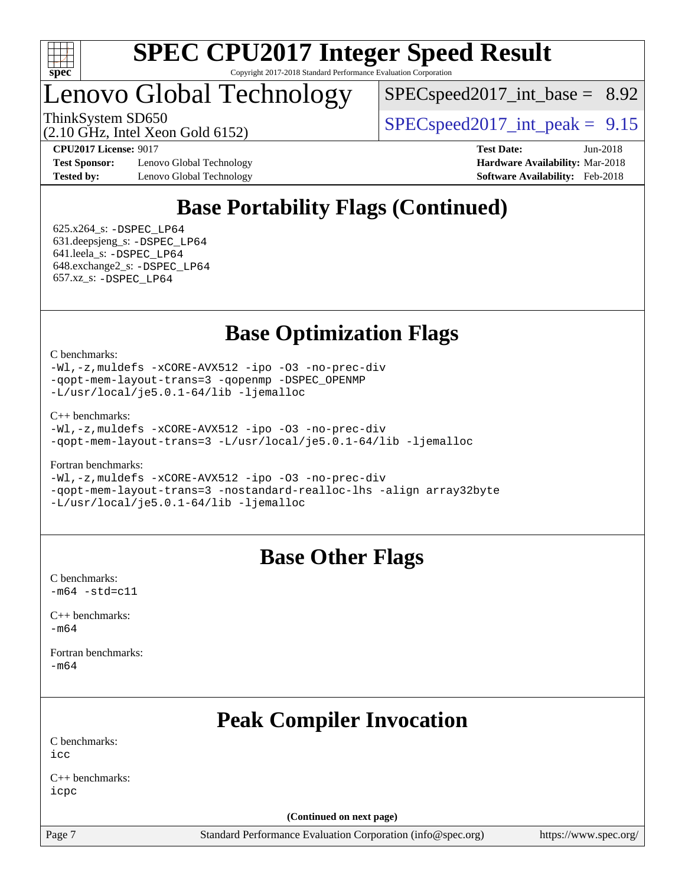

### Lenovo Global Technology

 $SPECspeed2017\_int\_base = 8.92$ 

ThinkSystem SD650  $SPEC speed2017$  int peak = 9.15

(2.10 GHz, Intel Xeon Gold 6152)

**[Test Sponsor:](http://www.spec.org/auto/cpu2017/Docs/result-fields.html#TestSponsor)** Lenovo Global Technology **[Hardware Availability:](http://www.spec.org/auto/cpu2017/Docs/result-fields.html#HardwareAvailability)** Mar-2018 **[Tested by:](http://www.spec.org/auto/cpu2017/Docs/result-fields.html#Testedby)** Lenovo Global Technology **[Software Availability:](http://www.spec.org/auto/cpu2017/Docs/result-fields.html#SoftwareAvailability)** Feb-2018

**[CPU2017 License:](http://www.spec.org/auto/cpu2017/Docs/result-fields.html#CPU2017License)** 9017 **[Test Date:](http://www.spec.org/auto/cpu2017/Docs/result-fields.html#TestDate)** Jun-2018

### **[Base Portability Flags \(Continued\)](http://www.spec.org/auto/cpu2017/Docs/result-fields.html#BasePortabilityFlags)**

 625.x264\_s: [-DSPEC\\_LP64](http://www.spec.org/cpu2017/results/res2018q3/cpu2017-20180625-07350.flags.html#suite_basePORTABILITY625_x264_s_DSPEC_LP64) 631.deepsjeng\_s: [-DSPEC\\_LP64](http://www.spec.org/cpu2017/results/res2018q3/cpu2017-20180625-07350.flags.html#suite_basePORTABILITY631_deepsjeng_s_DSPEC_LP64) 641.leela\_s: [-DSPEC\\_LP64](http://www.spec.org/cpu2017/results/res2018q3/cpu2017-20180625-07350.flags.html#suite_basePORTABILITY641_leela_s_DSPEC_LP64) 648.exchange2\_s: [-DSPEC\\_LP64](http://www.spec.org/cpu2017/results/res2018q3/cpu2017-20180625-07350.flags.html#suite_basePORTABILITY648_exchange2_s_DSPEC_LP64) 657.xz\_s: [-DSPEC\\_LP64](http://www.spec.org/cpu2017/results/res2018q3/cpu2017-20180625-07350.flags.html#suite_basePORTABILITY657_xz_s_DSPEC_LP64)

### **[Base Optimization Flags](http://www.spec.org/auto/cpu2017/Docs/result-fields.html#BaseOptimizationFlags)**

[C benchmarks](http://www.spec.org/auto/cpu2017/Docs/result-fields.html#Cbenchmarks):

[-Wl,-z,muldefs](http://www.spec.org/cpu2017/results/res2018q3/cpu2017-20180625-07350.flags.html#user_CCbase_link_force_multiple1_b4cbdb97b34bdee9ceefcfe54f4c8ea74255f0b02a4b23e853cdb0e18eb4525ac79b5a88067c842dd0ee6996c24547a27a4b99331201badda8798ef8a743f577) [-xCORE-AVX512](http://www.spec.org/cpu2017/results/res2018q3/cpu2017-20180625-07350.flags.html#user_CCbase_f-xCORE-AVX512) [-ipo](http://www.spec.org/cpu2017/results/res2018q3/cpu2017-20180625-07350.flags.html#user_CCbase_f-ipo) [-O3](http://www.spec.org/cpu2017/results/res2018q3/cpu2017-20180625-07350.flags.html#user_CCbase_f-O3) [-no-prec-div](http://www.spec.org/cpu2017/results/res2018q3/cpu2017-20180625-07350.flags.html#user_CCbase_f-no-prec-div) [-qopt-mem-layout-trans=3](http://www.spec.org/cpu2017/results/res2018q3/cpu2017-20180625-07350.flags.html#user_CCbase_f-qopt-mem-layout-trans_de80db37974c74b1f0e20d883f0b675c88c3b01e9d123adea9b28688d64333345fb62bc4a798493513fdb68f60282f9a726aa07f478b2f7113531aecce732043) [-qopenmp](http://www.spec.org/cpu2017/results/res2018q3/cpu2017-20180625-07350.flags.html#user_CCbase_qopenmp_16be0c44f24f464004c6784a7acb94aca937f053568ce72f94b139a11c7c168634a55f6653758ddd83bcf7b8463e8028bb0b48b77bcddc6b78d5d95bb1df2967) [-DSPEC\\_OPENMP](http://www.spec.org/cpu2017/results/res2018q3/cpu2017-20180625-07350.flags.html#suite_CCbase_DSPEC_OPENMP) [-L/usr/local/je5.0.1-64/lib](http://www.spec.org/cpu2017/results/res2018q3/cpu2017-20180625-07350.flags.html#user_CCbase_jemalloc_link_path64_4b10a636b7bce113509b17f3bd0d6226c5fb2346b9178c2d0232c14f04ab830f976640479e5c33dc2bcbbdad86ecfb6634cbbd4418746f06f368b512fced5394) [-ljemalloc](http://www.spec.org/cpu2017/results/res2018q3/cpu2017-20180625-07350.flags.html#user_CCbase_jemalloc_link_lib_d1249b907c500fa1c0672f44f562e3d0f79738ae9e3c4a9c376d49f265a04b9c99b167ecedbf6711b3085be911c67ff61f150a17b3472be731631ba4d0471706)

[C++ benchmarks:](http://www.spec.org/auto/cpu2017/Docs/result-fields.html#CXXbenchmarks)

[-Wl,-z,muldefs](http://www.spec.org/cpu2017/results/res2018q3/cpu2017-20180625-07350.flags.html#user_CXXbase_link_force_multiple1_b4cbdb97b34bdee9ceefcfe54f4c8ea74255f0b02a4b23e853cdb0e18eb4525ac79b5a88067c842dd0ee6996c24547a27a4b99331201badda8798ef8a743f577) [-xCORE-AVX512](http://www.spec.org/cpu2017/results/res2018q3/cpu2017-20180625-07350.flags.html#user_CXXbase_f-xCORE-AVX512) [-ipo](http://www.spec.org/cpu2017/results/res2018q3/cpu2017-20180625-07350.flags.html#user_CXXbase_f-ipo) [-O3](http://www.spec.org/cpu2017/results/res2018q3/cpu2017-20180625-07350.flags.html#user_CXXbase_f-O3) [-no-prec-div](http://www.spec.org/cpu2017/results/res2018q3/cpu2017-20180625-07350.flags.html#user_CXXbase_f-no-prec-div) [-qopt-mem-layout-trans=3](http://www.spec.org/cpu2017/results/res2018q3/cpu2017-20180625-07350.flags.html#user_CXXbase_f-qopt-mem-layout-trans_de80db37974c74b1f0e20d883f0b675c88c3b01e9d123adea9b28688d64333345fb62bc4a798493513fdb68f60282f9a726aa07f478b2f7113531aecce732043) [-L/usr/local/je5.0.1-64/lib](http://www.spec.org/cpu2017/results/res2018q3/cpu2017-20180625-07350.flags.html#user_CXXbase_jemalloc_link_path64_4b10a636b7bce113509b17f3bd0d6226c5fb2346b9178c2d0232c14f04ab830f976640479e5c33dc2bcbbdad86ecfb6634cbbd4418746f06f368b512fced5394) [-ljemalloc](http://www.spec.org/cpu2017/results/res2018q3/cpu2017-20180625-07350.flags.html#user_CXXbase_jemalloc_link_lib_d1249b907c500fa1c0672f44f562e3d0f79738ae9e3c4a9c376d49f265a04b9c99b167ecedbf6711b3085be911c67ff61f150a17b3472be731631ba4d0471706)

[Fortran benchmarks](http://www.spec.org/auto/cpu2017/Docs/result-fields.html#Fortranbenchmarks):

[-Wl,-z,muldefs](http://www.spec.org/cpu2017/results/res2018q3/cpu2017-20180625-07350.flags.html#user_FCbase_link_force_multiple1_b4cbdb97b34bdee9ceefcfe54f4c8ea74255f0b02a4b23e853cdb0e18eb4525ac79b5a88067c842dd0ee6996c24547a27a4b99331201badda8798ef8a743f577) [-xCORE-AVX512](http://www.spec.org/cpu2017/results/res2018q3/cpu2017-20180625-07350.flags.html#user_FCbase_f-xCORE-AVX512) [-ipo](http://www.spec.org/cpu2017/results/res2018q3/cpu2017-20180625-07350.flags.html#user_FCbase_f-ipo) [-O3](http://www.spec.org/cpu2017/results/res2018q3/cpu2017-20180625-07350.flags.html#user_FCbase_f-O3) [-no-prec-div](http://www.spec.org/cpu2017/results/res2018q3/cpu2017-20180625-07350.flags.html#user_FCbase_f-no-prec-div) [-qopt-mem-layout-trans=3](http://www.spec.org/cpu2017/results/res2018q3/cpu2017-20180625-07350.flags.html#user_FCbase_f-qopt-mem-layout-trans_de80db37974c74b1f0e20d883f0b675c88c3b01e9d123adea9b28688d64333345fb62bc4a798493513fdb68f60282f9a726aa07f478b2f7113531aecce732043) [-nostandard-realloc-lhs](http://www.spec.org/cpu2017/results/res2018q3/cpu2017-20180625-07350.flags.html#user_FCbase_f_2003_std_realloc_82b4557e90729c0f113870c07e44d33d6f5a304b4f63d4c15d2d0f1fab99f5daaed73bdb9275d9ae411527f28b936061aa8b9c8f2d63842963b95c9dd6426b8a) [-align array32byte](http://www.spec.org/cpu2017/results/res2018q3/cpu2017-20180625-07350.flags.html#user_FCbase_align_array32byte_b982fe038af199962ba9a80c053b8342c548c85b40b8e86eb3cc33dee0d7986a4af373ac2d51c3f7cf710a18d62fdce2948f201cd044323541f22fc0fffc51b6) [-L/usr/local/je5.0.1-64/lib](http://www.spec.org/cpu2017/results/res2018q3/cpu2017-20180625-07350.flags.html#user_FCbase_jemalloc_link_path64_4b10a636b7bce113509b17f3bd0d6226c5fb2346b9178c2d0232c14f04ab830f976640479e5c33dc2bcbbdad86ecfb6634cbbd4418746f06f368b512fced5394) [-ljemalloc](http://www.spec.org/cpu2017/results/res2018q3/cpu2017-20180625-07350.flags.html#user_FCbase_jemalloc_link_lib_d1249b907c500fa1c0672f44f562e3d0f79738ae9e3c4a9c376d49f265a04b9c99b167ecedbf6711b3085be911c67ff61f150a17b3472be731631ba4d0471706)

### **[Base Other Flags](http://www.spec.org/auto/cpu2017/Docs/result-fields.html#BaseOtherFlags)**

[C benchmarks](http://www.spec.org/auto/cpu2017/Docs/result-fields.html#Cbenchmarks):  $-m64 - std= c11$  $-m64 - std= c11$ 

[C++ benchmarks:](http://www.spec.org/auto/cpu2017/Docs/result-fields.html#CXXbenchmarks) [-m64](http://www.spec.org/cpu2017/results/res2018q3/cpu2017-20180625-07350.flags.html#user_CXXbase_intel_intel64_18.0_af43caccfc8ded86e7699f2159af6efc7655f51387b94da716254467f3c01020a5059329e2569e4053f409e7c9202a7efc638f7a6d1ffb3f52dea4a3e31d82ab)

[Fortran benchmarks](http://www.spec.org/auto/cpu2017/Docs/result-fields.html#Fortranbenchmarks): [-m64](http://www.spec.org/cpu2017/results/res2018q3/cpu2017-20180625-07350.flags.html#user_FCbase_intel_intel64_18.0_af43caccfc8ded86e7699f2159af6efc7655f51387b94da716254467f3c01020a5059329e2569e4053f409e7c9202a7efc638f7a6d1ffb3f52dea4a3e31d82ab)

### **[Peak Compiler Invocation](http://www.spec.org/auto/cpu2017/Docs/result-fields.html#PeakCompilerInvocation)**

[C benchmarks](http://www.spec.org/auto/cpu2017/Docs/result-fields.html#Cbenchmarks):  $i$ cc

[C++ benchmarks:](http://www.spec.org/auto/cpu2017/Docs/result-fields.html#CXXbenchmarks) [icpc](http://www.spec.org/cpu2017/results/res2018q3/cpu2017-20180625-07350.flags.html#user_CXXpeak_intel_icpc_18.0_c510b6838c7f56d33e37e94d029a35b4a7bccf4766a728ee175e80a419847e808290a9b78be685c44ab727ea267ec2f070ec5dc83b407c0218cded6866a35d07)

**(Continued on next page)**

Page 7 Standard Performance Evaluation Corporation [\(info@spec.org\)](mailto:info@spec.org) <https://www.spec.org/>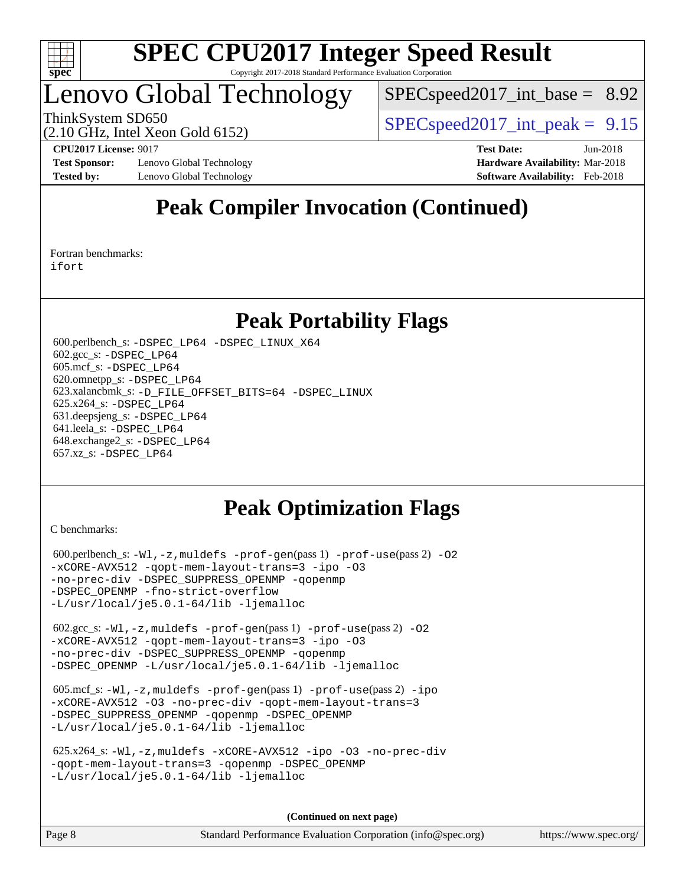

## Lenovo Global Technology

 $SPEC speed2017\_int\_base = 8.92$ 

ThinkSystem SD650  $SPEC speed2017$  int peak = 9.15

(2.10 GHz, Intel Xeon Gold 6152)

**[Test Sponsor:](http://www.spec.org/auto/cpu2017/Docs/result-fields.html#TestSponsor)** Lenovo Global Technology **[Hardware Availability:](http://www.spec.org/auto/cpu2017/Docs/result-fields.html#HardwareAvailability)** Mar-2018 **[Tested by:](http://www.spec.org/auto/cpu2017/Docs/result-fields.html#Testedby)** Lenovo Global Technology **[Software Availability:](http://www.spec.org/auto/cpu2017/Docs/result-fields.html#SoftwareAvailability)** Feb-2018

**[CPU2017 License:](http://www.spec.org/auto/cpu2017/Docs/result-fields.html#CPU2017License)** 9017 **[Test Date:](http://www.spec.org/auto/cpu2017/Docs/result-fields.html#TestDate)** Jun-2018

### **[Peak Compiler Invocation \(Continued\)](http://www.spec.org/auto/cpu2017/Docs/result-fields.html#PeakCompilerInvocation)**

[Fortran benchmarks](http://www.spec.org/auto/cpu2017/Docs/result-fields.html#Fortranbenchmarks): [ifort](http://www.spec.org/cpu2017/results/res2018q3/cpu2017-20180625-07350.flags.html#user_FCpeak_intel_ifort_18.0_8111460550e3ca792625aed983ce982f94888b8b503583aa7ba2b8303487b4d8a21a13e7191a45c5fd58ff318f48f9492884d4413fa793fd88dd292cad7027ca)

### **[Peak Portability Flags](http://www.spec.org/auto/cpu2017/Docs/result-fields.html#PeakPortabilityFlags)**

 600.perlbench\_s: [-DSPEC\\_LP64](http://www.spec.org/cpu2017/results/res2018q3/cpu2017-20180625-07350.flags.html#b600.perlbench_s_peakPORTABILITY_DSPEC_LP64) [-DSPEC\\_LINUX\\_X64](http://www.spec.org/cpu2017/results/res2018q3/cpu2017-20180625-07350.flags.html#b600.perlbench_s_peakCPORTABILITY_DSPEC_LINUX_X64) 602.gcc\_s: [-DSPEC\\_LP64](http://www.spec.org/cpu2017/results/res2018q3/cpu2017-20180625-07350.flags.html#suite_peakPORTABILITY602_gcc_s_DSPEC_LP64) 605.mcf\_s: [-DSPEC\\_LP64](http://www.spec.org/cpu2017/results/res2018q3/cpu2017-20180625-07350.flags.html#suite_peakPORTABILITY605_mcf_s_DSPEC_LP64) 620.omnetpp\_s: [-DSPEC\\_LP64](http://www.spec.org/cpu2017/results/res2018q3/cpu2017-20180625-07350.flags.html#suite_peakPORTABILITY620_omnetpp_s_DSPEC_LP64) 623.xalancbmk\_s: [-D\\_FILE\\_OFFSET\\_BITS=64](http://www.spec.org/cpu2017/results/res2018q3/cpu2017-20180625-07350.flags.html#user_peakPORTABILITY623_xalancbmk_s_file_offset_bits_64_5ae949a99b284ddf4e95728d47cb0843d81b2eb0e18bdfe74bbf0f61d0b064f4bda2f10ea5eb90e1dcab0e84dbc592acfc5018bc955c18609f94ddb8d550002c) [-DSPEC\\_LINUX](http://www.spec.org/cpu2017/results/res2018q3/cpu2017-20180625-07350.flags.html#b623.xalancbmk_s_peakCXXPORTABILITY_DSPEC_LINUX) 625.x264\_s: [-DSPEC\\_LP64](http://www.spec.org/cpu2017/results/res2018q3/cpu2017-20180625-07350.flags.html#suite_peakPORTABILITY625_x264_s_DSPEC_LP64) 631.deepsjeng\_s: [-DSPEC\\_LP64](http://www.spec.org/cpu2017/results/res2018q3/cpu2017-20180625-07350.flags.html#suite_peakPORTABILITY631_deepsjeng_s_DSPEC_LP64) 641.leela\_s: [-DSPEC\\_LP64](http://www.spec.org/cpu2017/results/res2018q3/cpu2017-20180625-07350.flags.html#suite_peakPORTABILITY641_leela_s_DSPEC_LP64) 648.exchange2\_s: [-DSPEC\\_LP64](http://www.spec.org/cpu2017/results/res2018q3/cpu2017-20180625-07350.flags.html#suite_peakPORTABILITY648_exchange2_s_DSPEC_LP64) 657.xz\_s: [-DSPEC\\_LP64](http://www.spec.org/cpu2017/results/res2018q3/cpu2017-20180625-07350.flags.html#suite_peakPORTABILITY657_xz_s_DSPEC_LP64)

### **[Peak Optimization Flags](http://www.spec.org/auto/cpu2017/Docs/result-fields.html#PeakOptimizationFlags)**

[C benchmarks](http://www.spec.org/auto/cpu2017/Docs/result-fields.html#Cbenchmarks):

```
600.perlbench_s: -W1, -z, muldefs -prof-gen(pass 1) -prof-use(pass 2)-O2
-xCORE-AVX512 -qopt-mem-layout-trans=3 -ipo -O3
-no-prec-div -DSPEC_SUPPRESS_OPENMP -qopenmp
-DSPEC_OPENMP -fno-strict-overflow
-L/usr/local/je5.0.1-64/lib -ljemalloc
 602.gcc_s: -Wl,-z,muldefs -prof-gen(pass 1) -prof-use(pass 2) -O2
-xCORE-AVX512 -qopt-mem-layout-trans=3 -ipo -O3
-no-prec-div -DSPEC_SUPPRESS_OPENMP -qopenmp
-DSPEC_OPENMP -L/usr/local/je5.0.1-64/lib -ljemalloc
605.mcf_s: -W1, -z, muldefs -prof -qen(pass 1) -prof-ipo
-xCORE-AVX512 -O3 -no-prec-div -qopt-mem-layout-trans=3
-DSPEC_SUPPRESS_OPENMP -qopenmp -DSPEC_OPENMP
-L/usr/local/je5.0.1-64/lib -ljemalloc
 625.x264_s: -Wl,-z,muldefs -xCORE-AVX512 -ipo -O3 -no-prec-div
-qopt-mem-layout-trans=3 -qopenmp -DSPEC_OPENMP
-L/usr/local/je5.0.1-64/lib -ljemalloc
```
**(Continued on next page)**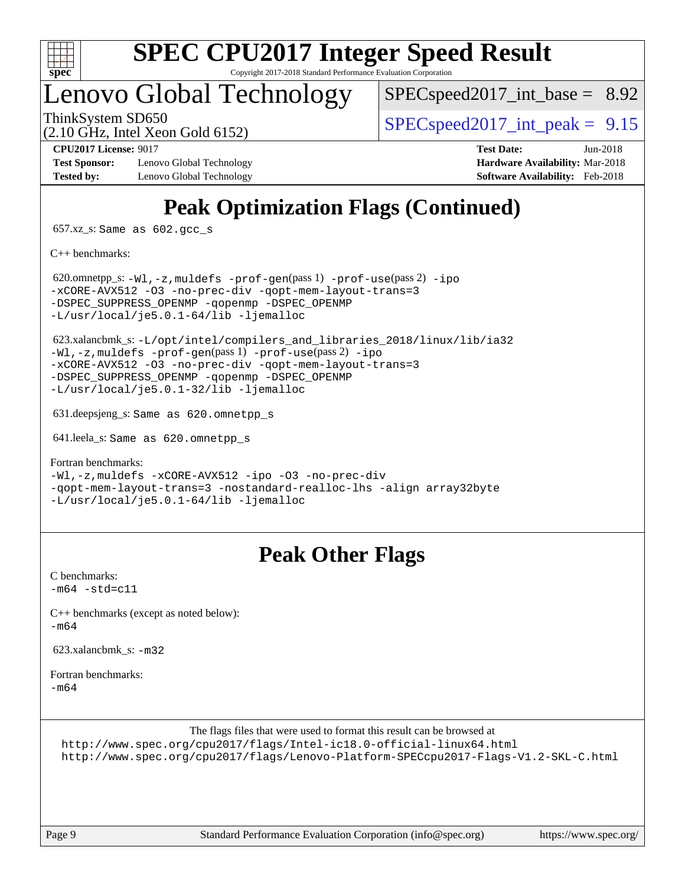

### Lenovo Global Technology

 $SPECspeed2017\_int\_base = 8.92$ 

(2.10 GHz, Intel Xeon Gold 6152)

ThinkSystem SD650  $SPEC speed2017$  int peak = 9.15

**[Test Sponsor:](http://www.spec.org/auto/cpu2017/Docs/result-fields.html#TestSponsor)** Lenovo Global Technology **[Hardware Availability:](http://www.spec.org/auto/cpu2017/Docs/result-fields.html#HardwareAvailability)** Mar-2018 **[Tested by:](http://www.spec.org/auto/cpu2017/Docs/result-fields.html#Testedby)** Lenovo Global Technology **[Software Availability:](http://www.spec.org/auto/cpu2017/Docs/result-fields.html#SoftwareAvailability)** Feb-2018

**[CPU2017 License:](http://www.spec.org/auto/cpu2017/Docs/result-fields.html#CPU2017License)** 9017 **[Test Date:](http://www.spec.org/auto/cpu2017/Docs/result-fields.html#TestDate)** Jun-2018

## **[Peak Optimization Flags \(Continued\)](http://www.spec.org/auto/cpu2017/Docs/result-fields.html#PeakOptimizationFlags)**

657.xz\_s: Same as 602.gcc\_s

[C++ benchmarks:](http://www.spec.org/auto/cpu2017/Docs/result-fields.html#CXXbenchmarks)

620.omnetpp\_s: $-W1, -z,$ muldefs  $-prof-gen(pass 1)$  $-prof-gen(pass 1)$   $-prof-use(pass 2) -ipo$  $-prof-use(pass 2) -ipo$  $-prof-use(pass 2) -ipo$ [-xCORE-AVX512](http://www.spec.org/cpu2017/results/res2018q3/cpu2017-20180625-07350.flags.html#user_peakPASS2_CXXOPTIMIZE620_omnetpp_s_f-xCORE-AVX512) [-O3](http://www.spec.org/cpu2017/results/res2018q3/cpu2017-20180625-07350.flags.html#user_peakPASS1_CXXOPTIMIZEPASS2_CXXOPTIMIZE620_omnetpp_s_f-O3) [-no-prec-div](http://www.spec.org/cpu2017/results/res2018q3/cpu2017-20180625-07350.flags.html#user_peakPASS1_CXXOPTIMIZEPASS2_CXXOPTIMIZE620_omnetpp_s_f-no-prec-div) [-qopt-mem-layout-trans=3](http://www.spec.org/cpu2017/results/res2018q3/cpu2017-20180625-07350.flags.html#user_peakPASS1_CXXOPTIMIZEPASS2_CXXOPTIMIZE620_omnetpp_s_f-qopt-mem-layout-trans_de80db37974c74b1f0e20d883f0b675c88c3b01e9d123adea9b28688d64333345fb62bc4a798493513fdb68f60282f9a726aa07f478b2f7113531aecce732043) -DSPEC SUPPRESS OPENMP [-qopenmp](http://www.spec.org/cpu2017/results/res2018q3/cpu2017-20180625-07350.flags.html#user_peakPASS2_CXXOPTIMIZE620_omnetpp_s_qopenmp_16be0c44f24f464004c6784a7acb94aca937f053568ce72f94b139a11c7c168634a55f6653758ddd83bcf7b8463e8028bb0b48b77bcddc6b78d5d95bb1df2967) -DSPEC OPENMP [-L/usr/local/je5.0.1-64/lib](http://www.spec.org/cpu2017/results/res2018q3/cpu2017-20180625-07350.flags.html#user_peakEXTRA_LIBS620_omnetpp_s_jemalloc_link_path64_4b10a636b7bce113509b17f3bd0d6226c5fb2346b9178c2d0232c14f04ab830f976640479e5c33dc2bcbbdad86ecfb6634cbbd4418746f06f368b512fced5394) [-ljemalloc](http://www.spec.org/cpu2017/results/res2018q3/cpu2017-20180625-07350.flags.html#user_peakEXTRA_LIBS620_omnetpp_s_jemalloc_link_lib_d1249b907c500fa1c0672f44f562e3d0f79738ae9e3c4a9c376d49f265a04b9c99b167ecedbf6711b3085be911c67ff61f150a17b3472be731631ba4d0471706)

 623.xalancbmk\_s: [-L/opt/intel/compilers\\_and\\_libraries\\_2018/linux/lib/ia32](http://www.spec.org/cpu2017/results/res2018q3/cpu2017-20180625-07350.flags.html#user_peakCXXLD623_xalancbmk_s_Enable-32bit-runtime_af243bdb1d79e4c7a4f720bf8275e627de2ecd461de63307bc14cef0633fde3cd7bb2facb32dcc8be9566045fb55d40ce2b72b725f73827aa7833441b71b9343) [-Wl,-z,muldefs](http://www.spec.org/cpu2017/results/res2018q3/cpu2017-20180625-07350.flags.html#user_peakEXTRA_LDFLAGS623_xalancbmk_s_link_force_multiple1_b4cbdb97b34bdee9ceefcfe54f4c8ea74255f0b02a4b23e853cdb0e18eb4525ac79b5a88067c842dd0ee6996c24547a27a4b99331201badda8798ef8a743f577) [-prof-gen](http://www.spec.org/cpu2017/results/res2018q3/cpu2017-20180625-07350.flags.html#user_peakPASS1_CXXFLAGSPASS1_LDFLAGS623_xalancbmk_s_prof_gen_5aa4926d6013ddb2a31985c654b3eb18169fc0c6952a63635c234f711e6e63dd76e94ad52365559451ec499a2cdb89e4dc58ba4c67ef54ca681ffbe1461d6b36)(pass 1) [-prof-use](http://www.spec.org/cpu2017/results/res2018q3/cpu2017-20180625-07350.flags.html#user_peakPASS2_CXXFLAGSPASS2_LDFLAGS623_xalancbmk_s_prof_use_1a21ceae95f36a2b53c25747139a6c16ca95bd9def2a207b4f0849963b97e94f5260e30a0c64f4bb623698870e679ca08317ef8150905d41bd88c6f78df73f19)(pass 2) [-ipo](http://www.spec.org/cpu2017/results/res2018q3/cpu2017-20180625-07350.flags.html#user_peakPASS1_CXXOPTIMIZEPASS2_CXXOPTIMIZE623_xalancbmk_s_f-ipo) [-xCORE-AVX512](http://www.spec.org/cpu2017/results/res2018q3/cpu2017-20180625-07350.flags.html#user_peakPASS2_CXXOPTIMIZE623_xalancbmk_s_f-xCORE-AVX512) [-O3](http://www.spec.org/cpu2017/results/res2018q3/cpu2017-20180625-07350.flags.html#user_peakPASS1_CXXOPTIMIZEPASS2_CXXOPTIMIZE623_xalancbmk_s_f-O3) [-no-prec-div](http://www.spec.org/cpu2017/results/res2018q3/cpu2017-20180625-07350.flags.html#user_peakPASS1_CXXOPTIMIZEPASS2_CXXOPTIMIZE623_xalancbmk_s_f-no-prec-div) [-qopt-mem-layout-trans=3](http://www.spec.org/cpu2017/results/res2018q3/cpu2017-20180625-07350.flags.html#user_peakPASS1_CXXOPTIMIZEPASS2_CXXOPTIMIZE623_xalancbmk_s_f-qopt-mem-layout-trans_de80db37974c74b1f0e20d883f0b675c88c3b01e9d123adea9b28688d64333345fb62bc4a798493513fdb68f60282f9a726aa07f478b2f7113531aecce732043) [-DSPEC\\_SUPPRESS\\_OPENMP](http://www.spec.org/cpu2017/results/res2018q3/cpu2017-20180625-07350.flags.html#suite_peakPASS1_CXXOPTIMIZE623_xalancbmk_s_DSPEC_SUPPRESS_OPENMP) [-qopenmp](http://www.spec.org/cpu2017/results/res2018q3/cpu2017-20180625-07350.flags.html#user_peakPASS2_CXXOPTIMIZE623_xalancbmk_s_qopenmp_16be0c44f24f464004c6784a7acb94aca937f053568ce72f94b139a11c7c168634a55f6653758ddd83bcf7b8463e8028bb0b48b77bcddc6b78d5d95bb1df2967) [-DSPEC\\_OPENMP](http://www.spec.org/cpu2017/results/res2018q3/cpu2017-20180625-07350.flags.html#suite_peakPASS2_CXXOPTIMIZE623_xalancbmk_s_DSPEC_OPENMP) [-L/usr/local/je5.0.1-32/lib](http://www.spec.org/cpu2017/results/res2018q3/cpu2017-20180625-07350.flags.html#user_peakEXTRA_LIBS623_xalancbmk_s_jemalloc_link_path32_e29f22e8e6c17053bbc6a0971f5a9c01a601a06bb1a59df2084b77a2fe0a2995b64fd4256feaeea39eeba3aae142e96e2b2b0a28974019c0c0c88139a84f900a) [-ljemalloc](http://www.spec.org/cpu2017/results/res2018q3/cpu2017-20180625-07350.flags.html#user_peakEXTRA_LIBS623_xalancbmk_s_jemalloc_link_lib_d1249b907c500fa1c0672f44f562e3d0f79738ae9e3c4a9c376d49f265a04b9c99b167ecedbf6711b3085be911c67ff61f150a17b3472be731631ba4d0471706)

631.deepsjeng\_s: Same as 620.omnetpp\_s

641.leela\_s: Same as 620.omnetpp\_s

[Fortran benchmarks](http://www.spec.org/auto/cpu2017/Docs/result-fields.html#Fortranbenchmarks): [-Wl,-z,muldefs](http://www.spec.org/cpu2017/results/res2018q3/cpu2017-20180625-07350.flags.html#user_FCpeak_link_force_multiple1_b4cbdb97b34bdee9ceefcfe54f4c8ea74255f0b02a4b23e853cdb0e18eb4525ac79b5a88067c842dd0ee6996c24547a27a4b99331201badda8798ef8a743f577) [-xCORE-AVX512](http://www.spec.org/cpu2017/results/res2018q3/cpu2017-20180625-07350.flags.html#user_FCpeak_f-xCORE-AVX512) [-ipo](http://www.spec.org/cpu2017/results/res2018q3/cpu2017-20180625-07350.flags.html#user_FCpeak_f-ipo) [-O3](http://www.spec.org/cpu2017/results/res2018q3/cpu2017-20180625-07350.flags.html#user_FCpeak_f-O3) [-no-prec-div](http://www.spec.org/cpu2017/results/res2018q3/cpu2017-20180625-07350.flags.html#user_FCpeak_f-no-prec-div) [-qopt-mem-layout-trans=3](http://www.spec.org/cpu2017/results/res2018q3/cpu2017-20180625-07350.flags.html#user_FCpeak_f-qopt-mem-layout-trans_de80db37974c74b1f0e20d883f0b675c88c3b01e9d123adea9b28688d64333345fb62bc4a798493513fdb68f60282f9a726aa07f478b2f7113531aecce732043) [-nostandard-realloc-lhs](http://www.spec.org/cpu2017/results/res2018q3/cpu2017-20180625-07350.flags.html#user_FCpeak_f_2003_std_realloc_82b4557e90729c0f113870c07e44d33d6f5a304b4f63d4c15d2d0f1fab99f5daaed73bdb9275d9ae411527f28b936061aa8b9c8f2d63842963b95c9dd6426b8a) [-align array32byte](http://www.spec.org/cpu2017/results/res2018q3/cpu2017-20180625-07350.flags.html#user_FCpeak_align_array32byte_b982fe038af199962ba9a80c053b8342c548c85b40b8e86eb3cc33dee0d7986a4af373ac2d51c3f7cf710a18d62fdce2948f201cd044323541f22fc0fffc51b6) [-L/usr/local/je5.0.1-64/lib](http://www.spec.org/cpu2017/results/res2018q3/cpu2017-20180625-07350.flags.html#user_FCpeak_jemalloc_link_path64_4b10a636b7bce113509b17f3bd0d6226c5fb2346b9178c2d0232c14f04ab830f976640479e5c33dc2bcbbdad86ecfb6634cbbd4418746f06f368b512fced5394) [-ljemalloc](http://www.spec.org/cpu2017/results/res2018q3/cpu2017-20180625-07350.flags.html#user_FCpeak_jemalloc_link_lib_d1249b907c500fa1c0672f44f562e3d0f79738ae9e3c4a9c376d49f265a04b9c99b167ecedbf6711b3085be911c67ff61f150a17b3472be731631ba4d0471706)

### **[Peak Other Flags](http://www.spec.org/auto/cpu2017/Docs/result-fields.html#PeakOtherFlags)**

[C benchmarks](http://www.spec.org/auto/cpu2017/Docs/result-fields.html#Cbenchmarks):  $-m64 - std = c11$  $-m64 - std = c11$ [C++ benchmarks \(except as noted below\):](http://www.spec.org/auto/cpu2017/Docs/result-fields.html#CXXbenchmarksexceptasnotedbelow) [-m64](http://www.spec.org/cpu2017/results/res2018q3/cpu2017-20180625-07350.flags.html#user_CXXpeak_intel_intel64_18.0_af43caccfc8ded86e7699f2159af6efc7655f51387b94da716254467f3c01020a5059329e2569e4053f409e7c9202a7efc638f7a6d1ffb3f52dea4a3e31d82ab) 623.xalancbmk  $s: -m32$  $s: -m32$ [Fortran benchmarks](http://www.spec.org/auto/cpu2017/Docs/result-fields.html#Fortranbenchmarks): [-m64](http://www.spec.org/cpu2017/results/res2018q3/cpu2017-20180625-07350.flags.html#user_FCpeak_intel_intel64_18.0_af43caccfc8ded86e7699f2159af6efc7655f51387b94da716254467f3c01020a5059329e2569e4053f409e7c9202a7efc638f7a6d1ffb3f52dea4a3e31d82ab) The flags files that were used to format this result can be browsed at <http://www.spec.org/cpu2017/flags/Intel-ic18.0-official-linux64.html>

<http://www.spec.org/cpu2017/flags/Lenovo-Platform-SPECcpu2017-Flags-V1.2-SKL-C.html>